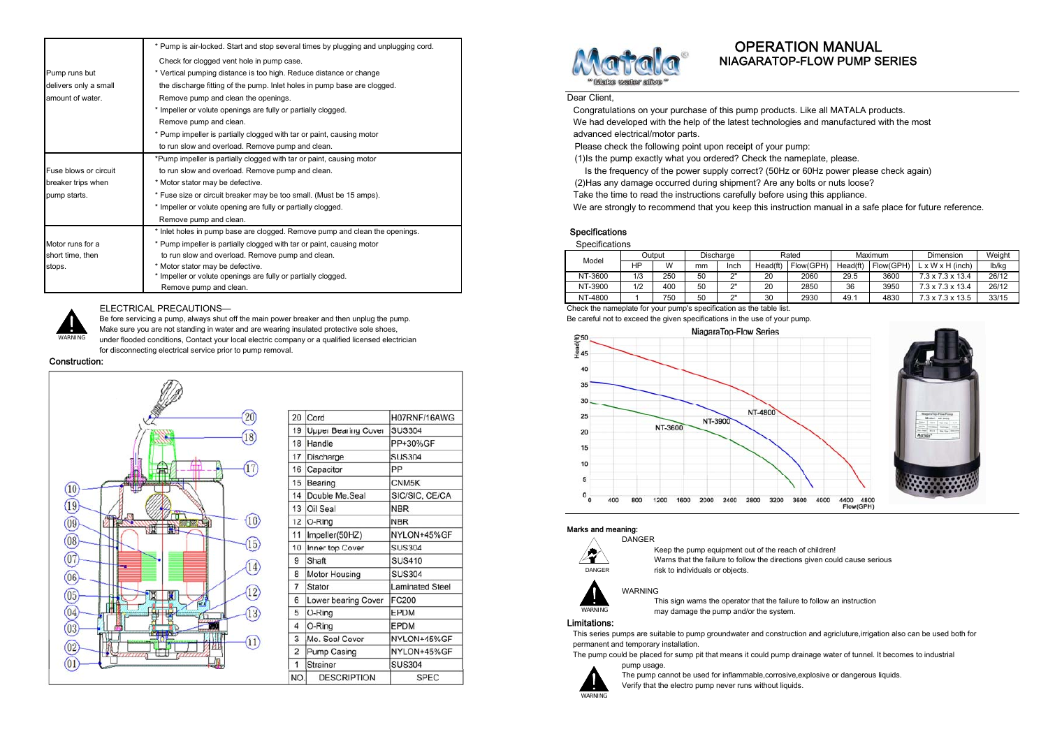|                       | * Pump is air-locked. Start and stop several times by plugging and unplugging cord. |                                                                                        |                                                                           |                  |     |    |                    |    | <b>OPERATION MANUAL</b>                                                            |      |         |  |
|-----------------------|-------------------------------------------------------------------------------------|----------------------------------------------------------------------------------------|---------------------------------------------------------------------------|------------------|-----|----|--------------------|----|------------------------------------------------------------------------------------|------|---------|--|
|                       | Check for clogged vent hole in pump case.                                           |                                                                                        |                                                                           |                  |     |    |                    |    | NIAGARATOP-FLOW PUMP SERIES                                                        |      |         |  |
| Pump runs but         | * Vertical pumping distance is too high. Reduce distance or change                  |                                                                                        |                                                                           |                  |     |    |                    |    |                                                                                    |      |         |  |
| delivers only a small | the discharge fitting of the pump. Inlet holes in pump base are clogged.            |                                                                                        |                                                                           | Wake water alive |     |    |                    |    |                                                                                    |      |         |  |
| amount of water.      | Remove pump and clean the openings.                                                 |                                                                                        | Dear Client,                                                              |                  |     |    |                    |    |                                                                                    |      |         |  |
|                       | * Impeller or volute openings are fully or partially clogged.                       | Congratulations on your purchase of this pump products. Like all MATALA products.      |                                                                           |                  |     |    |                    |    |                                                                                    |      |         |  |
|                       | Remove pump and clean.                                                              | We had developed with the help of the latest technologies and manufactured with the n  |                                                                           |                  |     |    |                    |    |                                                                                    |      |         |  |
|                       | * Pump impeller is partially clogged with tar or paint, causing motor               | advanced electrical/motor parts.                                                       |                                                                           |                  |     |    |                    |    |                                                                                    |      |         |  |
|                       | to run slow and overload. Remove pump and clean.                                    | Please check the following point upon receipt of your pump:                            |                                                                           |                  |     |    |                    |    |                                                                                    |      |         |  |
|                       | *Pump impeller is partially clogged with tar or paint, causing motor                | (1) Is the pump exactly what you ordered? Check the nameplate, please.                 |                                                                           |                  |     |    |                    |    |                                                                                    |      |         |  |
| Fuse blows or circuit | to run slow and overload. Remove pump and clean.                                    |                                                                                        |                                                                           |                  |     |    |                    |    | Is the frequency of the power supply correct? (50Hz or 60Hz power please check ago |      |         |  |
| breaker trips when    | * Motor stator may be defective.                                                    |                                                                                        | (2) Has any damage occurred during shipment? Are any bolts or nuts loose? |                  |     |    |                    |    |                                                                                    |      |         |  |
| pump starts.          | * Fuse size or circuit breaker may be too small. (Must be 15 amps).                 | Take the time to read the instructions carefully before using this appliance.          |                                                                           |                  |     |    |                    |    |                                                                                    |      |         |  |
|                       | * Impeller or volute opening are fully or partially clogged.                        | We are strongly to recommend that you keep this instruction manual in a safe place for |                                                                           |                  |     |    |                    |    |                                                                                    |      |         |  |
|                       | Remove pump and clean.                                                              |                                                                                        |                                                                           |                  |     |    |                    |    |                                                                                    |      |         |  |
|                       | * Inlet holes in pump base are clogged. Remove pump and clean the openings.         |                                                                                        | <b>Specifications</b>                                                     |                  |     |    |                    |    |                                                                                    |      |         |  |
| Motor runs for a      | * Pump impeller is partially clogged with tar or paint, causing motor               |                                                                                        | Specifications                                                            |                  |     |    |                    |    |                                                                                    |      |         |  |
| short time, then      | to run slow and overload. Remove pump and clean.                                    |                                                                                        | Model                                                                     | Output           |     |    | Discharge<br>Rated |    |                                                                                    |      | Maximum |  |
| stops.                | * Motor stator may be defective.                                                    |                                                                                        |                                                                           | <b>HP</b>        | W   | mm | Inch               |    | Head(ft) Flow(GPH) Head(ft) Flow(GPH)                                              |      |         |  |
|                       | * Impeller or volute openings are fully or partially clogged.                       |                                                                                        | NT-3600                                                                   | 1/3              | 250 | 50 |                    | 20 | 2060                                                                               | 29.5 | 3600    |  |
|                       | Remove pump and clean.                                                              |                                                                                        | NT-3900                                                                   | 1/2              | 400 | 50 |                    | 20 | 2850                                                                               | 36   | 3950    |  |



## ELECTRICAL PRECAUTIONS—

Be fore servicing a pump, always shut off the main power breaker and then unplug the pump. Be careful not to exceed the given specifications in the use of your pump. Make sure you are not standing in water and are wearing insulated protective sole shoes, under flooded conditions, Contact your local electric company or a qualified licensed electrician for disconnecting electrical service prior to pump removal.

### Construction:



| 20             | Cord                       | H07RNF/16AWG           |
|----------------|----------------------------|------------------------|
| 19             | <b>Upper Bearing Cover</b> | <b>SUS304</b>          |
| 18             | Handle                     | PP+30%GF               |
| 17             | Discharge                  | <b>SUS304</b>          |
| 16             | Capacitor                  | PP                     |
| 15             | Bearing                    | CNM <sub>5K</sub>      |
| 14             | Double Me.Seal             | SIC/SIC, CE/CA         |
| 13             | Oil Seal                   | <b>NBR</b>             |
| 12             | O-Ring                     | <b>NBR</b>             |
| 11             | Impeller(50HZ)             | NYLON+45%GF            |
| 10             | Inner top Cover            | <b>SUS304</b>          |
| 9              | Shaft                      | <b>SUS410</b>          |
| 8              | <b>Motor Housing</b>       | <b>SUS304</b>          |
| $\overline{7}$ | Stator                     | <b>Laminated Steel</b> |
| 6              | Lower bearing Cover        | <b>FC200</b>           |
| 5              | O-Ring                     | EPDM                   |
| 4              | O-Ring                     | <b>EPDM</b>            |
| 3              | Me. Seal Cover             | NYLON+45%GF            |
| $\overline{2}$ | Pump Casing                | NYLON+45%GF            |
| 1              | <b>Strainer</b>            | <b>SUS304</b>          |
| NO.            | <b>DESCRIPTION</b>         | <b>SPEC</b>            |



# **OPERATION MANUAL**

We are strongly to recommend that you keep this instruction manual in a safe place for future reference.

# Specifications

|                  | ---                                                           |                |        |              |           |             |                  |      |           |                                                                                |       |
|------------------|---------------------------------------------------------------|----------------|--------|--------------|-----------|-------------|------------------|------|-----------|--------------------------------------------------------------------------------|-------|
| short time, then | to run slow and overload. Remove pump and clean.              | Modei          | Output |              | Discharge |             | Maximum<br>Rateo |      | Dimension | Weight                                                                         |       |
| stops.           | Motor stator may be defective.                                |                |        | $\mathbf{M}$ | mm        | <b>Inch</b> |                  |      |           | $\text{Head}(\text{ft})$   Flow(GPH)   Head(ft)   Flow(GPH)   L x W x H (inch) | lb/ka |
|                  | * Impeller or volute openings are fully or partially clogged. | <b>NT-3600</b> | 1/3    | 250          | 50        |             | 2060             | 29.5 | 3600      | $7.3 \times 7.3 \times 13.4$                                                   | 26/12 |
|                  | Remove pump and clean.                                        | NT-3900        | 1/2    | 400          | 50        |             | 2850             |      | 0000      | $7.3 \times 7.3 \times 13.4$                                                   | 26/12 |
|                  |                                                               | NT-4800        |        | 750          | 50        |             | 2930             |      | 1830      | $7.3 \times 7.3 \times 13.5$                                                   | 33/15 |

Check the nameplate for your pump's specification as the table list.



### Marks and meaning: DANGER



Keep the pump equipment out of the reach of children! Warns that the failure to follow the directions given could cause serious

risk to individuals or objects.



This sign warns the operator that the failure to follow an instruction may damage the pump and/or the system.

# Limitations: WARNING

This series pumps are suitable to pump groundwater and construction and agricluture,irrigation also can be used both for permanent and temporary installation.

The pump could be placed for sump pit that means it could pump drainage water of tunnel. It becomes to industrial pump usage.



The pump cannot be used for inflammable,corrosive,explosive or dangerous liquids. Verify that the electro pump never runs without liquids.